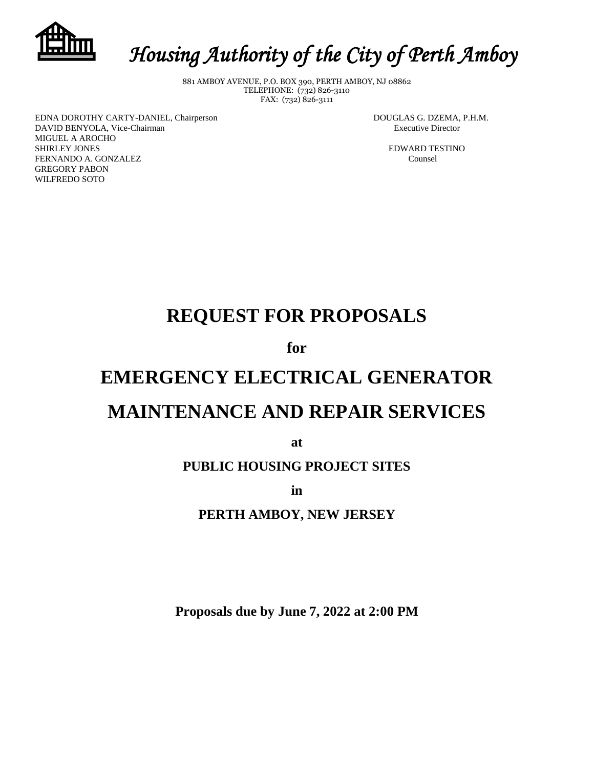

# *Housing Authority of the City of Perth Amboy*

881 AMBOY AVENUE, P.O. BOX 390, PERTH AMBOY, NJ 08862 TELEPHONE: (732) 826-3110 FAX: (732) 826-3111

EDNA DOROTHY CARTY-DANIEL, Chairperson DOUGLAS G. DZEMA, P.H.M. DAVID BENYOLA, Vice-Chairman **Executive Director** Executive Director MIGUEL A AROCHO SHIRLEY JONES EDWARD TESTINO FERNANDO A. GONZALEZ Counsel GREGORY PABON WILFREDO SOTO

# **REQUEST FOR PROPOSALS**

**for**

# **EMERGENCY ELECTRICAL GENERATOR MAINTENANCE AND REPAIR SERVICES**

**at**

# **PUBLIC HOUSING PROJECT SITES**

**in** 

# **PERTH AMBOY, NEW JERSEY**

**Proposals due by June 7, 2022 at 2:00 PM**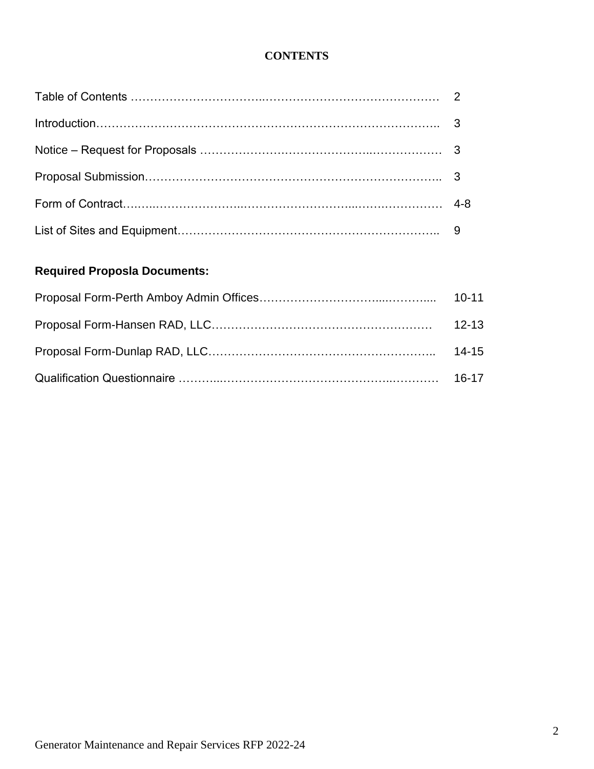# **CONTENTS**

# **Required Proposla Documents:**

| $10-11$   |
|-----------|
| $12 - 13$ |
| $14 - 15$ |
|           |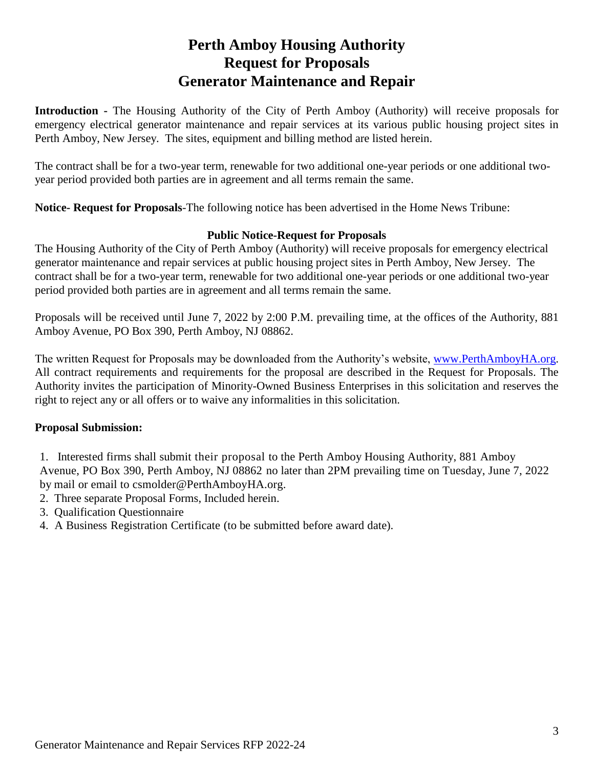# **Perth Amboy Housing Authority Request for Proposals Generator Maintenance and Repair**

**Introduction -** The Housing Authority of the City of Perth Amboy (Authority) will receive proposals for emergency electrical generator maintenance and repair services at its various public housing project sites in Perth Amboy, New Jersey. The sites, equipment and billing method are listed herein.

The contract shall be for a two-year term, renewable for two additional one-year periods or one additional twoyear period provided both parties are in agreement and all terms remain the same.

**Notice- Request for Proposals**-The following notice has been advertised in the Home News Tribune:

## **Public Notice-Request for Proposals**

The Housing Authority of the City of Perth Amboy (Authority) will receive proposals for emergency electrical generator maintenance and repair services at public housing project sites in Perth Amboy, New Jersey. The contract shall be for a two-year term, renewable for two additional one-year periods or one additional two-year period provided both parties are in agreement and all terms remain the same.

Proposals will be received until June 7, 2022 by 2:00 P.M. prevailing time, at the offices of the Authority, 881 Amboy Avenue, PO Box 390, Perth Amboy, NJ 08862.

The written Request for Proposals may be downloaded from the Authority's website, [www.PerthAmboyHA.org.](http://www.perthamboyha.org/) All contract requirements and requirements for the proposal are described in the Request for Proposals. The Authority invites the participation of Minority-Owned Business Enterprises in this solicitation and reserves the right to reject any or all offers or to waive any informalities in this solicitation.

# **Proposal Submission:**

- 1. Interested firms shall submit their proposal to the Perth Amboy Housing Authority, 881 Amboy Avenue, PO Box 390, Perth Amboy, NJ 08862 no later than 2PM prevailing time on Tuesday, June 7, 2022 by mail or email to csmolder@PerthAmboyHA.org.
- 2. Three separate Proposal Forms, Included herein.
- 3. Qualification Questionnaire
- 4. A Business Registration Certificate (to be submitted before award date).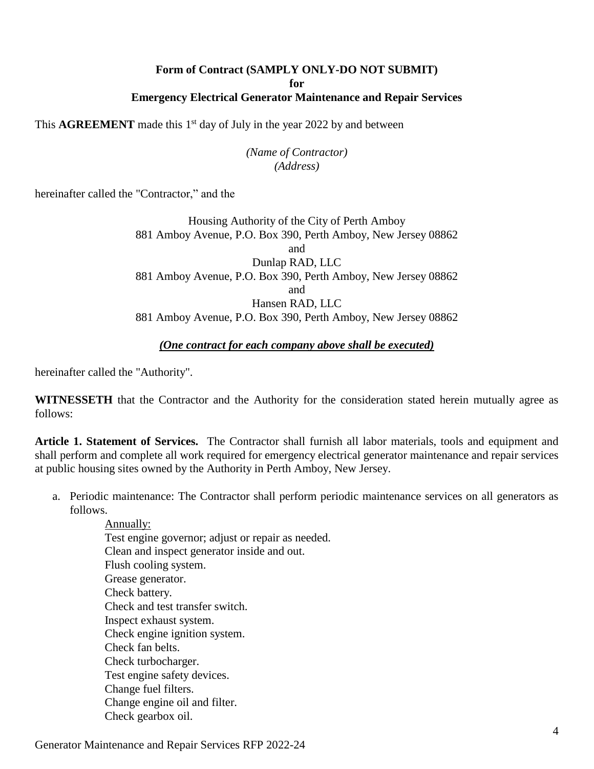### **Form of Contract (SAMPLY ONLY-DO NOT SUBMIT) for Emergency Electrical Generator Maintenance and Repair Services**

This  $\text{AGREEMENT}$  made this 1<sup>st</sup> day of July in the year 2022 by and between

## *(Name of Contractor) (Address)*

hereinafter called the "Contractor," and the

Housing Authority of the City of Perth Amboy 881 Amboy Avenue, P.O. Box 390, Perth Amboy, New Jersey 08862 and Dunlap RAD, LLC 881 Amboy Avenue, P.O. Box 390, Perth Amboy, New Jersey 08862 and Hansen RAD, LLC 881 Amboy Avenue, P.O. Box 390, Perth Amboy, New Jersey 08862

### *(One contract for each company above shall be executed)*

hereinafter called the "Authority".

**WITNESSETH** that the Contractor and the Authority for the consideration stated herein mutually agree as follows:

**Article 1. Statement of Services.** The Contractor shall furnish all labor materials, tools and equipment and shall perform and complete all work required for emergency electrical generator maintenance and repair services at public housing sites owned by the Authority in Perth Amboy, New Jersey.

a. Periodic maintenance: The Contractor shall perform periodic maintenance services on all generators as follows.

Annually: Test engine governor; adjust or repair as needed. Clean and inspect generator inside and out. Flush cooling system. Grease generator. Check battery. Check and test transfer switch. Inspect exhaust system. Check engine ignition system. Check fan belts. Check turbocharger. Test engine safety devices. Change fuel filters. Change engine oil and filter. Check gearbox oil.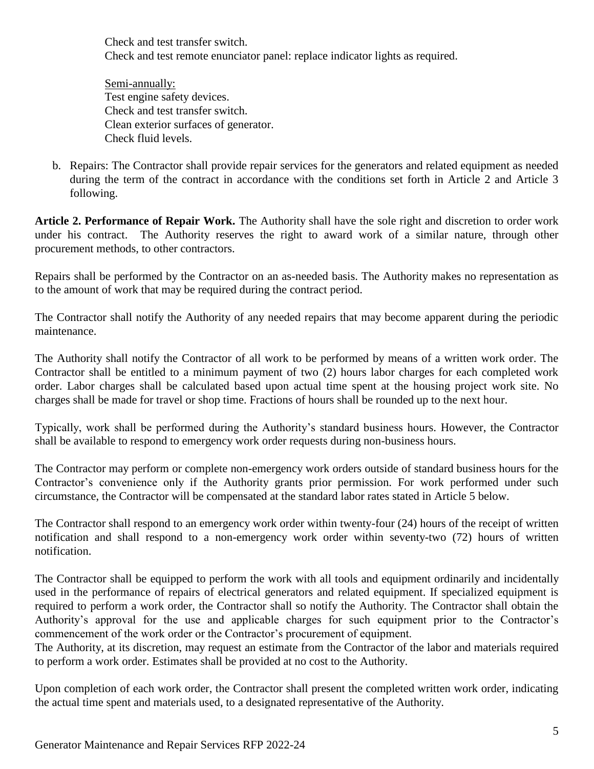Check and test transfer switch. Check and test remote enunciator panel: replace indicator lights as required.

Semi-annually: Test engine safety devices. Check and test transfer switch. Clean exterior surfaces of generator. Check fluid levels.

b. Repairs: The Contractor shall provide repair services for the generators and related equipment as needed during the term of the contract in accordance with the conditions set forth in Article 2 and Article 3 following.

**Article 2. Performance of Repair Work.** The Authority shall have the sole right and discretion to order work under his contract. The Authority reserves the right to award work of a similar nature, through other procurement methods, to other contractors.

Repairs shall be performed by the Contractor on an as-needed basis. The Authority makes no representation as to the amount of work that may be required during the contract period.

The Contractor shall notify the Authority of any needed repairs that may become apparent during the periodic maintenance.

The Authority shall notify the Contractor of all work to be performed by means of a written work order. The Contractor shall be entitled to a minimum payment of two (2) hours labor charges for each completed work order. Labor charges shall be calculated based upon actual time spent at the housing project work site. No charges shall be made for travel or shop time. Fractions of hours shall be rounded up to the next hour.

Typically, work shall be performed during the Authority's standard business hours. However, the Contractor shall be available to respond to emergency work order requests during non-business hours.

The Contractor may perform or complete non-emergency work orders outside of standard business hours for the Contractor's convenience only if the Authority grants prior permission. For work performed under such circumstance, the Contractor will be compensated at the standard labor rates stated in Article 5 below.

The Contractor shall respond to an emergency work order within twenty-four (24) hours of the receipt of written notification and shall respond to a non-emergency work order within seventy-two (72) hours of written notification.

The Contractor shall be equipped to perform the work with all tools and equipment ordinarily and incidentally used in the performance of repairs of electrical generators and related equipment. If specialized equipment is required to perform a work order, the Contractor shall so notify the Authority. The Contractor shall obtain the Authority's approval for the use and applicable charges for such equipment prior to the Contractor's commencement of the work order or the Contractor's procurement of equipment.

The Authority, at its discretion, may request an estimate from the Contractor of the labor and materials required to perform a work order. Estimates shall be provided at no cost to the Authority.

Upon completion of each work order, the Contractor shall present the completed written work order, indicating the actual time spent and materials used, to a designated representative of the Authority.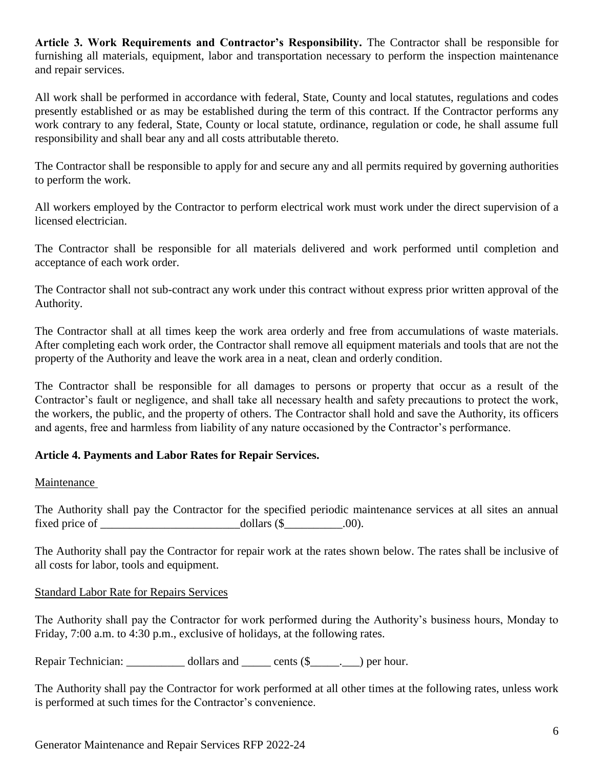**Article 3. Work Requirements and Contractor's Responsibility.** The Contractor shall be responsible for furnishing all materials, equipment, labor and transportation necessary to perform the inspection maintenance and repair services.

All work shall be performed in accordance with federal, State, County and local statutes, regulations and codes presently established or as may be established during the term of this contract. If the Contractor performs any work contrary to any federal, State, County or local statute, ordinance, regulation or code, he shall assume full responsibility and shall bear any and all costs attributable thereto.

The Contractor shall be responsible to apply for and secure any and all permits required by governing authorities to perform the work.

All workers employed by the Contractor to perform electrical work must work under the direct supervision of a licensed electrician.

The Contractor shall be responsible for all materials delivered and work performed until completion and acceptance of each work order.

The Contractor shall not sub-contract any work under this contract without express prior written approval of the Authority.

The Contractor shall at all times keep the work area orderly and free from accumulations of waste materials. After completing each work order, the Contractor shall remove all equipment materials and tools that are not the property of the Authority and leave the work area in a neat, clean and orderly condition.

The Contractor shall be responsible for all damages to persons or property that occur as a result of the Contractor's fault or negligence, and shall take all necessary health and safety precautions to protect the work, the workers, the public, and the property of others. The Contractor shall hold and save the Authority, its officers and agents, free and harmless from liability of any nature occasioned by the Contractor's performance.

# **Article 4. Payments and Labor Rates for Repair Services.**

# Maintenance

The Authority shall pay the Contractor for the specified periodic maintenance services at all sites an annual fixed price of \_\_\_\_\_\_\_\_\_\_\_\_\_\_\_\_\_\_\_\_\_\_\_\_dollars (\$\_\_\_\_\_\_\_\_\_\_.00).

The Authority shall pay the Contractor for repair work at the rates shown below. The rates shall be inclusive of all costs for labor, tools and equipment.

# Standard Labor Rate for Repairs Services

The Authority shall pay the Contractor for work performed during the Authority's business hours, Monday to Friday, 7:00 a.m. to 4:30 p.m., exclusive of holidays, at the following rates.

Repair Technician: \_\_\_\_\_\_\_\_\_\_\_ dollars and \_\_\_\_\_\_ cents (\$\_\_\_\_\_.) per hour.

The Authority shall pay the Contractor for work performed at all other times at the following rates, unless work is performed at such times for the Contractor's convenience.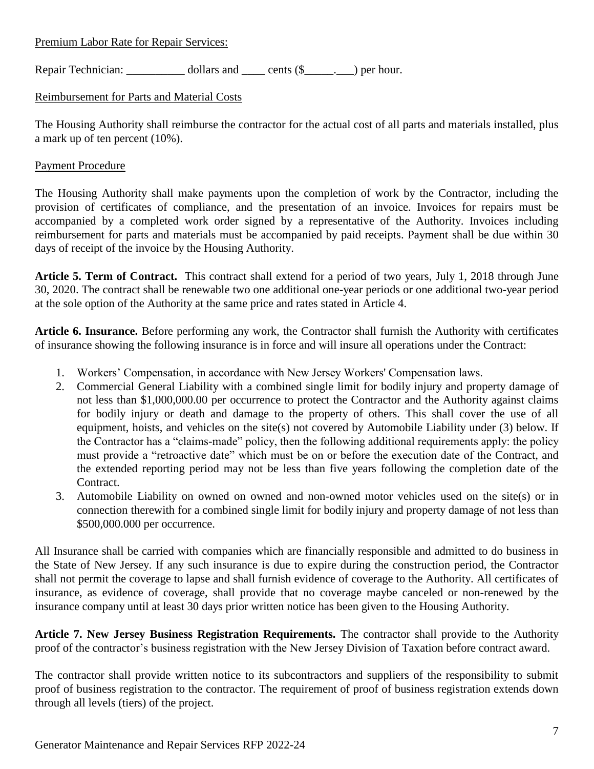Premium Labor Rate for Repair Services:

Repair Technician: dollars and cents (\$  $\Box$ ) per hour.

# Reimbursement for Parts and Material Costs

The Housing Authority shall reimburse the contractor for the actual cost of all parts and materials installed, plus a mark up of ten percent (10%).

# Payment Procedure

The Housing Authority shall make payments upon the completion of work by the Contractor, including the provision of certificates of compliance, and the presentation of an invoice. Invoices for repairs must be accompanied by a completed work order signed by a representative of the Authority. Invoices including reimbursement for parts and materials must be accompanied by paid receipts. Payment shall be due within 30 days of receipt of the invoice by the Housing Authority.

**Article 5. Term of Contract.** This contract shall extend for a period of two years, July 1, 2018 through June 30, 2020. The contract shall be renewable two one additional one-year periods or one additional two-year period at the sole option of the Authority at the same price and rates stated in Article 4.

**Article 6. Insurance.** Before performing any work, the Contractor shall furnish the Authority with certificates of insurance showing the following insurance is in force and will insure all operations under the Contract:

- 1. Workers' Compensation, in accordance with New Jersey Workers' Compensation laws.
- 2. Commercial General Liability with a combined single limit for bodily injury and property damage of not less than \$1,000,000.00 per occurrence to protect the Contractor and the Authority against claims for bodily injury or death and damage to the property of others. This shall cover the use of all equipment, hoists, and vehicles on the site(s) not covered by Automobile Liability under (3) below. If the Contractor has a "claims-made" policy, then the following additional requirements apply: the policy must provide a "retroactive date" which must be on or before the execution date of the Contract, and the extended reporting period may not be less than five years following the completion date of the Contract.
- 3. Automobile Liability on owned on owned and non-owned motor vehicles used on the site(s) or in connection therewith for a combined single limit for bodily injury and property damage of not less than \$500,000.000 per occurrence.

All Insurance shall be carried with companies which are financially responsible and admitted to do business in the State of New Jersey. If any such insurance is due to expire during the construction period, the Contractor shall not permit the coverage to lapse and shall furnish evidence of coverage to the Authority. All certificates of insurance, as evidence of coverage, shall provide that no coverage maybe canceled or non-renewed by the insurance company until at least 30 days prior written notice has been given to the Housing Authority.

**Article 7. New Jersey Business Registration Requirements.** The contractor shall provide to the Authority proof of the contractor's business registration with the New Jersey Division of Taxation before contract award.

The contractor shall provide written notice to its subcontractors and suppliers of the responsibility to submit proof of business registration to the contractor. The requirement of proof of business registration extends down through all levels (tiers) of the project.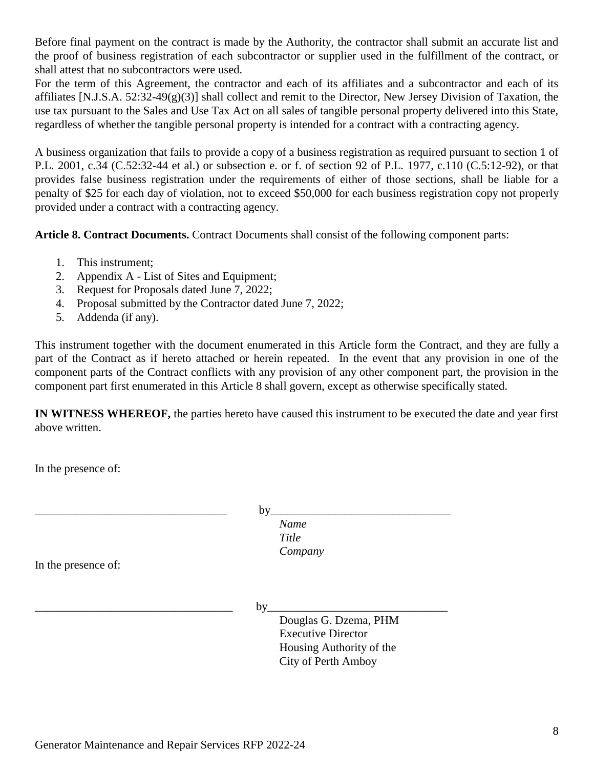Before final payment on the contract is made by the Authority, the contractor shall submit an accurate list and the proof of business registration of each subcontractor or supplier used in the fulfillment of the contract, or shall attest that no subcontractors were used.

For the term of this Agreement, the contractor and each of its affiliates and a subcontractor and each of its affiliates [N.J.S.A.  $52:32-49(g)(3)$ ] shall collect and remit to the Director, New Jersey Division of Taxation, the use tax pursuant to the Sales and Use Tax Act on all sales of tangible personal property delivered into this State, regardless of whether the tangible personal property is intended for a contract with a contracting agency.

A business organization that fails to provide a copy of a business registration as required pursuant to section 1 of P.L. 2001, c.34 (C.52:32-44 et al.) or subsection e. or f. of section 92 of P.L. 1977, c.110 (C.5:12-92), or that provides false business registration under the requirements of either of those sections, shall be liable for a penalty of \$25 for each day of violation, not to exceed \$50,000 for each business registration copy not properly provided under a contract with a contracting agency.

**Article 8. Contract Documents.** Contract Documents shall consist of the following component parts:

- 1. This instrument;
- 2. Appendix A List of Sites and Equipment;
- 3. Request for Proposals dated June 7, 2022;
- 4. Proposal submitted by the Contractor dated June 7, 2022;
- 5. Addenda (if any).

This instrument together with the document enumerated in this Article form the Contract, and they are fully a part of the Contract as if hereto attached or herein repeated. In the event that any provision in one of the component parts of the Contract conflicts with any provision of any other component part, the provision in the component part first enumerated in this Article 8 shall govern, except as otherwise specifically stated.

**IN WITNESS WHEREOF,** the parties hereto have caused this instrument to be executed the date and year first above written.

In the presence of:

\_\_\_\_\_\_\_\_\_\_\_\_\_\_\_\_\_\_\_\_\_\_\_\_\_\_\_\_\_\_\_\_\_ by\_\_\_\_\_\_\_\_\_\_\_\_\_\_\_\_\_\_\_\_\_\_\_\_\_\_\_\_\_\_\_ *Name*

> *Title Company*

In the presence of:

\_\_\_\_\_\_\_\_\_\_\_\_\_\_\_\_\_\_\_\_\_\_\_\_\_\_\_\_\_\_\_\_\_\_ by\_\_\_\_\_\_\_\_\_\_\_\_\_\_\_\_\_\_\_\_\_\_\_\_\_\_\_\_\_\_\_

Douglas G. Dzema, PHM Executive Director Housing Authority of the City of Perth Amboy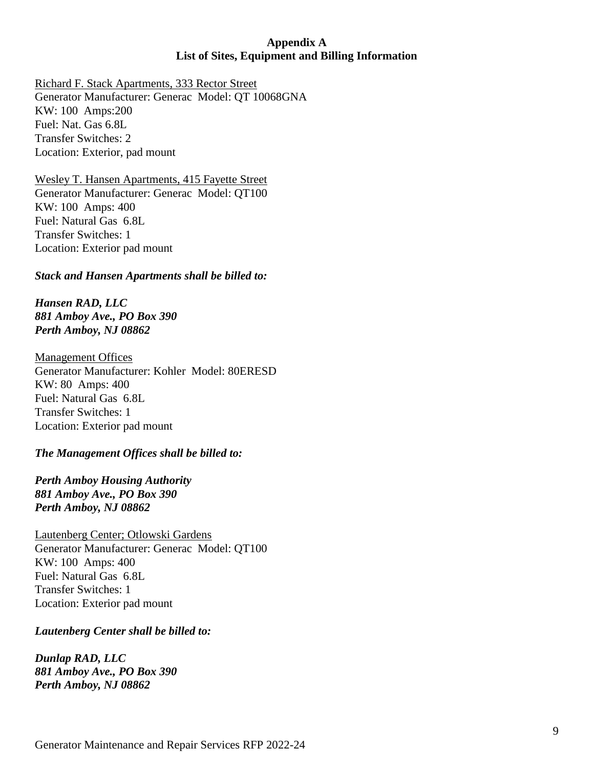# **Appendix A List of Sites, Equipment and Billing Information**

Richard F. Stack Apartments, 333 Rector Street Generator Manufacturer: Generac Model: QT 10068GNA KW: 100 Amps:200 Fuel: Nat. Gas 6.8L Transfer Switches: 2 Location: Exterior, pad mount

Wesley T. Hansen Apartments, 415 Fayette Street Generator Manufacturer: Generac Model: QT100 KW: 100 Amps: 400 Fuel: Natural Gas 6.8L Transfer Switches: 1 Location: Exterior pad mount

*Stack and Hansen Apartments shall be billed to:*

*Hansen RAD, LLC 881 Amboy Ave., PO Box 390 Perth Amboy, NJ 08862*

Management Offices Generator Manufacturer: Kohler Model: 80ERESD KW: 80 Amps: 400 Fuel: Natural Gas 6.8L Transfer Switches: 1 Location: Exterior pad mount

# *The Management Offices shall be billed to:*

*Perth Amboy Housing Authority 881 Amboy Ave., PO Box 390 Perth Amboy, NJ 08862*

Lautenberg Center; Otlowski Gardens Generator Manufacturer: Generac Model: QT100 KW: 100 Amps: 400 Fuel: Natural Gas 6.8L Transfer Switches: 1 Location: Exterior pad mount

*Lautenberg Center shall be billed to:*

*Dunlap RAD, LLC 881 Amboy Ave., PO Box 390 Perth Amboy, NJ 08862*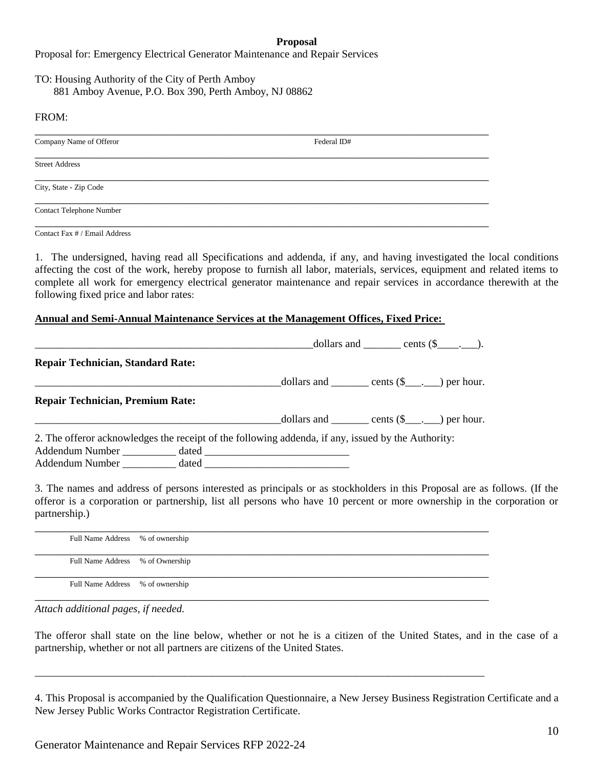#### **Proposal**

Proposal for: Emergency Electrical Generator Maintenance and Repair Services

#### TO: Housing Authority of the City of Perth Amboy 881 Amboy Avenue, P.O. Box 390, Perth Amboy, NJ 08862

#### FROM:

| Federal ID# |  |
|-------------|--|
|             |  |
|             |  |
|             |  |
|             |  |

Contact Fax # / Email Address

1. The undersigned, having read all Specifications and addenda, if any, and having investigated the local conditions affecting the cost of the work, hereby propose to furnish all labor, materials, services, equipment and related items to complete all work for emergency electrical generator maintenance and repair services in accordance therewith at the following fixed price and labor rates:

#### **Annual and Semi-Annual Maintenance Services at the Management Offices, Fixed Price:**

|                                                                                                    |  | dollars and _______ cents $(\$$ ____. |  |
|----------------------------------------------------------------------------------------------------|--|---------------------------------------|--|
| <b>Repair Technician, Standard Rate:</b>                                                           |  |                                       |  |
|                                                                                                    |  |                                       |  |
| <b>Repair Technician, Premium Rate:</b>                                                            |  |                                       |  |
|                                                                                                    |  |                                       |  |
| 2. The offeror acknowledges the receipt of the following addenda, if any, issued by the Authority: |  |                                       |  |
|                                                                                                    |  |                                       |  |
|                                                                                                    |  |                                       |  |

3. The names and address of persons interested as principals or as stockholders in this Proposal are as follows. (If the offeror is a corporation or partnership, list all persons who have 10 percent or more ownership in the corporation or partnership.)

| Full Name Address % of ownership |  |
|----------------------------------|--|
| Full Name Address % of Ownership |  |
| Full Name Address % of ownership |  |

\_\_\_\_\_\_\_\_\_\_\_\_\_\_\_\_\_\_\_\_\_\_\_\_\_\_\_\_\_\_\_\_\_\_\_\_\_\_\_\_\_\_\_\_\_\_\_\_\_\_\_\_\_\_\_\_\_\_\_\_\_\_\_\_\_\_\_\_\_\_\_\_\_\_\_\_\_\_\_\_\_\_\_\_

*Attach additional pages, if needed.* 

The offeror shall state on the line below, whether or not he is a citizen of the United States, and in the case of a partnership, whether or not all partners are citizens of the United States.

4. This Proposal is accompanied by the Qualification Questionnaire, a New Jersey Business Registration Certificate and a New Jersey Public Works Contractor Registration Certificate.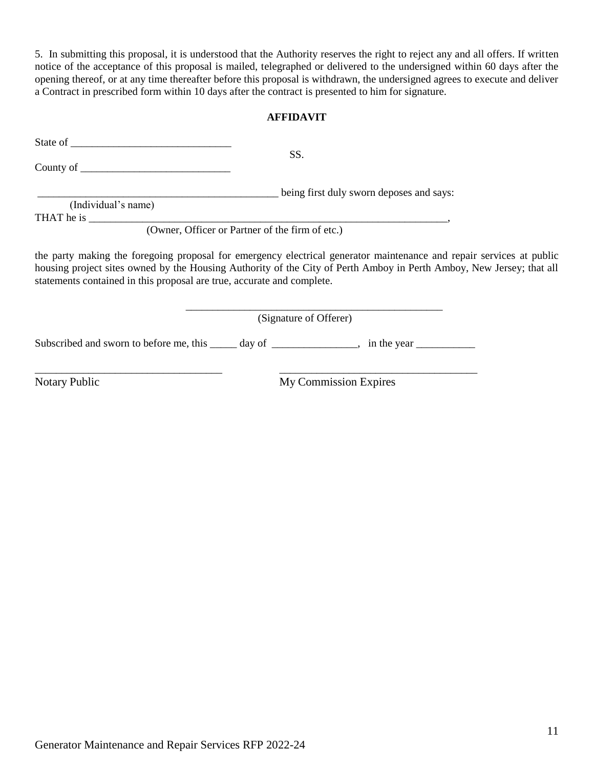5. In submitting this proposal, it is understood that the Authority reserves the right to reject any and all offers. If written notice of the acceptance of this proposal is mailed, telegraphed or delivered to the undersigned within 60 days after the opening thereof, or at any time thereafter before this proposal is withdrawn, the undersigned agrees to execute and deliver a Contract in prescribed form within 10 days after the contract is presented to him for signature.

# **AFFIDAVIT**

|                                                                                              | SS.                                                                                                                                                                                                                                          |
|----------------------------------------------------------------------------------------------|----------------------------------------------------------------------------------------------------------------------------------------------------------------------------------------------------------------------------------------------|
|                                                                                              |                                                                                                                                                                                                                                              |
|                                                                                              | being first duly sworn deposes and says:                                                                                                                                                                                                     |
| (Individual's name)                                                                          |                                                                                                                                                                                                                                              |
|                                                                                              |                                                                                                                                                                                                                                              |
| (Owner, Officer or Partner of the firm of etc.)                                              |                                                                                                                                                                                                                                              |
| statements contained in this proposal are true, accurate and complete.                       | the party making the foregoing proposal for emergency electrical generator maintenance and repair services at public<br>housing project sites owned by the Housing Authority of the City of Perth Amboy in Perth Amboy, New Jersey; that all |
|                                                                                              | (Signature of Offerer)                                                                                                                                                                                                                       |
| Subscribed and sworn to before me, this _____ day of ______________, in the year ___________ |                                                                                                                                                                                                                                              |
| <b>Notary Public</b>                                                                         | <b>My Commission Expires</b>                                                                                                                                                                                                                 |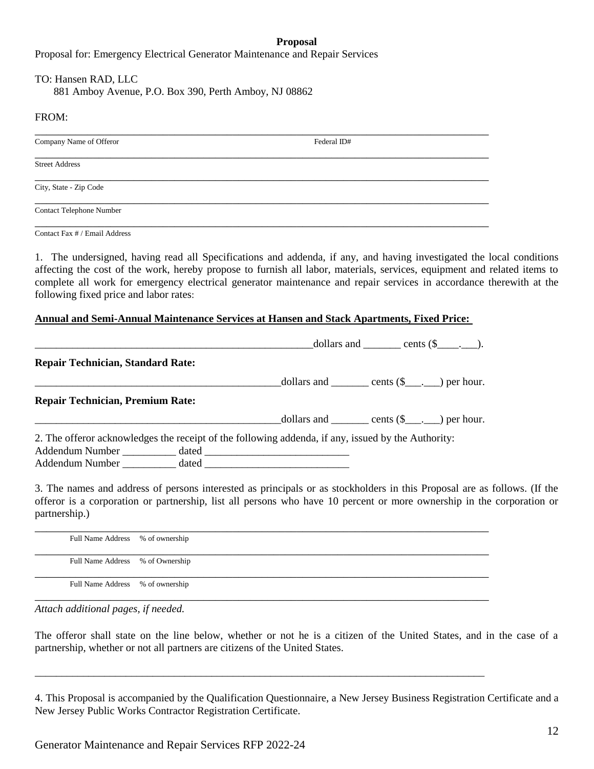#### **Proposal**

Proposal for: Emergency Electrical Generator Maintenance and Repair Services

#### TO: Hansen RAD, LLC

881 Amboy Avenue, P.O. Box 390, Perth Amboy, NJ 08862

#### FROM:

| Company Name of Offeror  | Federal ID# |
|--------------------------|-------------|
| <b>Street Address</b>    |             |
| City, State - Zip Code   |             |
| Contact Telephone Number |             |
|                          |             |

Contact Fax # / Email Address

1. The undersigned, having read all Specifications and addenda, if any, and having investigated the local conditions affecting the cost of the work, hereby propose to furnish all labor, materials, services, equipment and related items to complete all work for emergency electrical generator maintenance and repair services in accordance therewith at the following fixed price and labor rates:

#### **Annual and Semi-Annual Maintenance Services at Hansen and Stack Apartments, Fixed Price:**

|                                                                                                    |  | dollars and $\qquad$ cents $(\$ \_ \_ \_ \).$ |
|----------------------------------------------------------------------------------------------------|--|-----------------------------------------------|
| <b>Repair Technician, Standard Rate:</b>                                                           |  |                                               |
|                                                                                                    |  |                                               |
| <b>Repair Technician, Premium Rate:</b>                                                            |  |                                               |
|                                                                                                    |  |                                               |
| 2. The offeror acknowledges the receipt of the following addenda, if any, issued by the Authority: |  |                                               |
|                                                                                                    |  |                                               |
|                                                                                                    |  |                                               |

3. The names and address of persons interested as principals or as stockholders in this Proposal are as follows. (If the offeror is a corporation or partnership, list all persons who have 10 percent or more ownership in the corporation or partnership.)

| Full Name Address % of ownership |  |
|----------------------------------|--|
| Full Name Address % of Ownership |  |
| Full Name Address % of ownership |  |

\_\_\_\_\_\_\_\_\_\_\_\_\_\_\_\_\_\_\_\_\_\_\_\_\_\_\_\_\_\_\_\_\_\_\_\_\_\_\_\_\_\_\_\_\_\_\_\_\_\_\_\_\_\_\_\_\_\_\_\_\_\_\_\_\_\_\_\_\_\_\_\_\_\_\_\_\_\_\_\_\_\_\_\_

*Attach additional pages, if needed.* 

The offeror shall state on the line below, whether or not he is a citizen of the United States, and in the case of a partnership, whether or not all partners are citizens of the United States.

4. This Proposal is accompanied by the Qualification Questionnaire, a New Jersey Business Registration Certificate and a New Jersey Public Works Contractor Registration Certificate.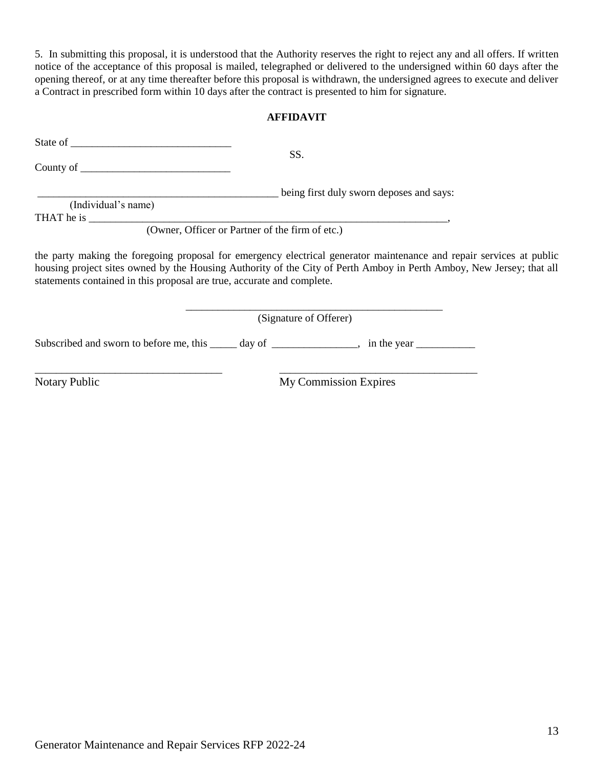5. In submitting this proposal, it is understood that the Authority reserves the right to reject any and all offers. If written notice of the acceptance of this proposal is mailed, telegraphed or delivered to the undersigned within 60 days after the opening thereof, or at any time thereafter before this proposal is withdrawn, the undersigned agrees to execute and deliver a Contract in prescribed form within 10 days after the contract is presented to him for signature.

### **AFFIDAVIT**

|                                                                                              | SS.                                                                                                                                                                                                                                          |
|----------------------------------------------------------------------------------------------|----------------------------------------------------------------------------------------------------------------------------------------------------------------------------------------------------------------------------------------------|
|                                                                                              |                                                                                                                                                                                                                                              |
|                                                                                              | being first duly sworn deposes and says:                                                                                                                                                                                                     |
| (Individual's name)                                                                          |                                                                                                                                                                                                                                              |
|                                                                                              |                                                                                                                                                                                                                                              |
| (Owner, Officer or Partner of the firm of etc.)                                              |                                                                                                                                                                                                                                              |
| statements contained in this proposal are true, accurate and complete.                       | the party making the foregoing proposal for emergency electrical generator maintenance and repair services at public<br>housing project sites owned by the Housing Authority of the City of Perth Amboy in Perth Amboy, New Jersey; that all |
|                                                                                              | (Signature of Offerer)                                                                                                                                                                                                                       |
| Subscribed and sworn to before me, this _____ day of ______________, in the year ___________ |                                                                                                                                                                                                                                              |
| <b>Notary Public</b>                                                                         | <b>My Commission Expires</b>                                                                                                                                                                                                                 |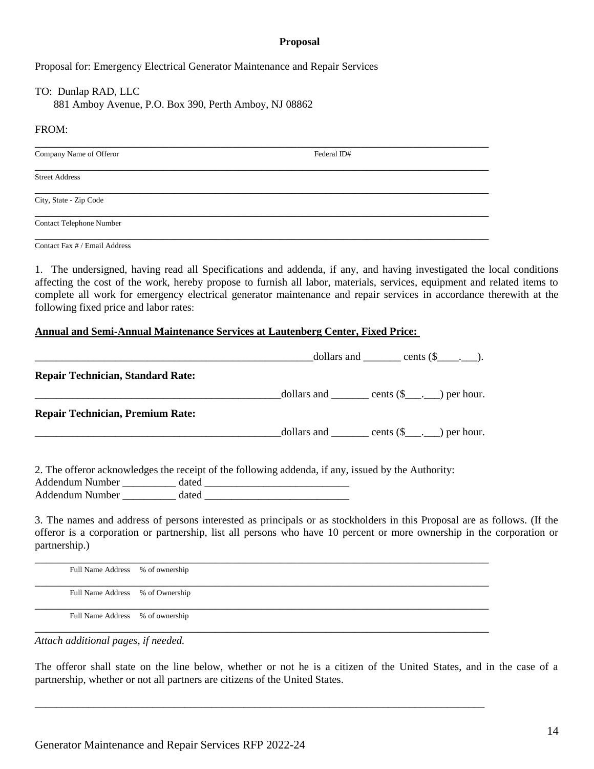#### **Proposal**

Proposal for: Emergency Electrical Generator Maintenance and Repair Services

TO: Dunlap RAD, LLC 881 Amboy Avenue, P.O. Box 390, Perth Amboy, NJ 08862

#### FROM:

| Company Name of Offeror         | Federal ID# |
|---------------------------------|-------------|
|                                 |             |
| <b>Street Address</b>           |             |
|                                 |             |
| City, State - Zip Code          |             |
| <b>Contact Telephone Number</b> |             |
|                                 |             |

Contact Fax # / Email Address

1. The undersigned, having read all Specifications and addenda, if any, and having investigated the local conditions affecting the cost of the work, hereby propose to furnish all labor, materials, services, equipment and related items to complete all work for emergency electrical generator maintenance and repair services in accordance therewith at the following fixed price and labor rates:

#### **Annual and Semi-Annual Maintenance Services at Lautenberg Center, Fixed Price:**

|                                          | dollars and $\qquad \qquad \text{cents } (\$\_\_\_\_).$                                                                                                                                                                                           |  |
|------------------------------------------|---------------------------------------------------------------------------------------------------------------------------------------------------------------------------------------------------------------------------------------------------|--|
| <b>Repair Technician, Standard Rate:</b> |                                                                                                                                                                                                                                                   |  |
|                                          |                                                                                                                                                                                                                                                   |  |
| <b>Repair Technician, Premium Rate:</b>  |                                                                                                                                                                                                                                                   |  |
|                                          |                                                                                                                                                                                                                                                   |  |
|                                          |                                                                                                                                                                                                                                                   |  |
|                                          | 2. The offeror acknowledges the receipt of the following addenda, if any, issued by the Authority:                                                                                                                                                |  |
|                                          |                                                                                                                                                                                                                                                   |  |
| Addendum Number dated dated              |                                                                                                                                                                                                                                                   |  |
|                                          | 3. The names and address of persons interested as principals or as stockholders in this Proposal are as follows. (If the<br>offeror is a corporation or partnership, list all persons who have 10 percent or more ownership in the corporation or |  |

| Full Name Address % of ownership |  |
|----------------------------------|--|
| Full Name Address % of Ownership |  |
| Full Name Address % of ownership |  |

\_\_\_\_\_\_\_\_\_\_\_\_\_\_\_\_\_\_\_\_\_\_\_\_\_\_\_\_\_\_\_\_\_\_\_\_\_\_\_\_\_\_\_\_\_\_\_\_\_\_\_\_\_\_\_\_\_\_\_\_\_\_\_\_\_\_\_\_\_\_\_\_\_\_\_\_\_\_\_\_\_\_\_\_

*Attach additional pages, if needed.* 

partnership.)

The offeror shall state on the line below, whether or not he is a citizen of the United States, and in the case of a partnership, whether or not all partners are citizens of the United States.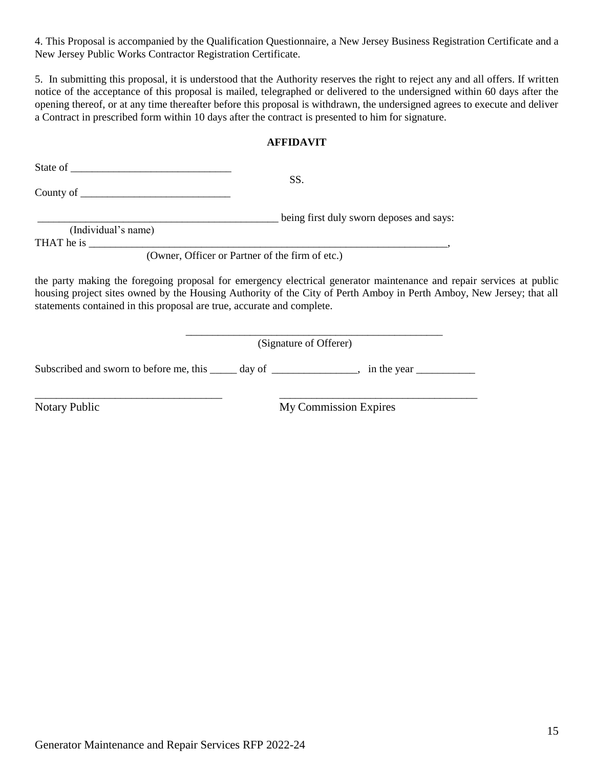4. This Proposal is accompanied by the Qualification Questionnaire, a New Jersey Business Registration Certificate and a New Jersey Public Works Contractor Registration Certificate.

5. In submitting this proposal, it is understood that the Authority reserves the right to reject any and all offers. If written notice of the acceptance of this proposal is mailed, telegraphed or delivered to the undersigned within 60 days after the opening thereof, or at any time thereafter before this proposal is withdrawn, the undersigned agrees to execute and deliver a Contract in prescribed form within 10 days after the contract is presented to him for signature.

### **AFFIDAVIT**

| State of the state of the state of the state of the state of the state of the state of the state of the state of the state of the state of the state of the state of the state of the state of the state of the state of the s |                                                                                                                                                                                                                                              |
|--------------------------------------------------------------------------------------------------------------------------------------------------------------------------------------------------------------------------------|----------------------------------------------------------------------------------------------------------------------------------------------------------------------------------------------------------------------------------------------|
|                                                                                                                                                                                                                                | SS.                                                                                                                                                                                                                                          |
| (Individual's name)<br>THAT he is                                                                                                                                                                                              | being first duly sworn deposes and says:                                                                                                                                                                                                     |
|                                                                                                                                                                                                                                | (Owner, Officer or Partner of the firm of etc.)                                                                                                                                                                                              |
| statements contained in this proposal are true, accurate and complete.                                                                                                                                                         | the party making the foregoing proposal for emergency electrical generator maintenance and repair services at public<br>housing project sites owned by the Housing Authority of the City of Perth Amboy in Perth Amboy, New Jersey; that all |
|                                                                                                                                                                                                                                | (Signature of Offerer)                                                                                                                                                                                                                       |
| Subscribed and sworn to before me, this                                                                                                                                                                                        | day of $\overline{\phantom{a}}$<br>$\rightarrow$ in the year                                                                                                                                                                                 |

\_\_\_\_\_\_\_\_\_\_\_\_\_\_\_\_\_\_\_\_\_\_\_\_\_\_\_\_\_\_\_\_\_\_\_ \_\_\_\_\_\_\_\_\_\_\_\_\_\_\_\_\_\_\_\_\_\_\_\_\_\_\_\_\_\_\_\_\_\_\_\_\_

Notary Public My Commission Expires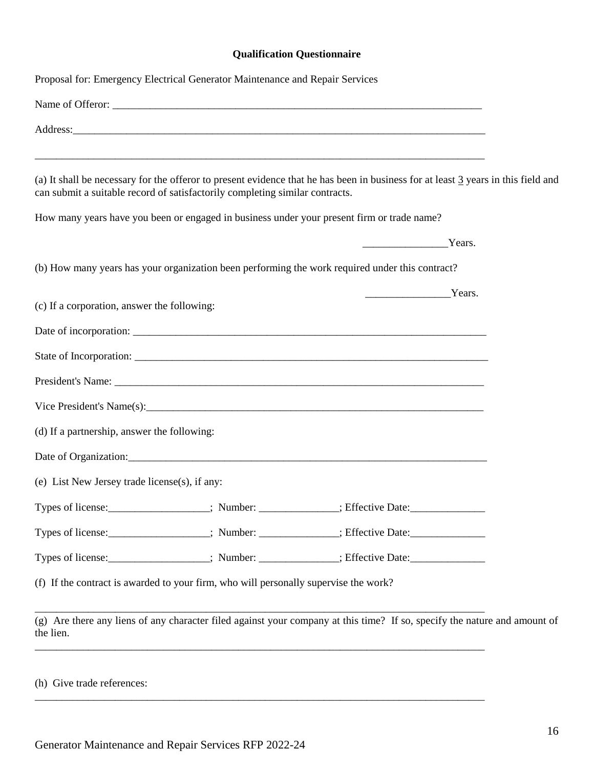# **Qualification Questionnaire**

| Proposal for: Emergency Electrical Generator Maintenance and Repair Services                                                                                                                                      |                                                                                                                                                                                                                                                                                                                                                                                                                      |  |
|-------------------------------------------------------------------------------------------------------------------------------------------------------------------------------------------------------------------|----------------------------------------------------------------------------------------------------------------------------------------------------------------------------------------------------------------------------------------------------------------------------------------------------------------------------------------------------------------------------------------------------------------------|--|
| Name of Offeror:                                                                                                                                                                                                  |                                                                                                                                                                                                                                                                                                                                                                                                                      |  |
|                                                                                                                                                                                                                   |                                                                                                                                                                                                                                                                                                                                                                                                                      |  |
| (a) It shall be necessary for the offeror to present evidence that he has been in business for at least 3 years in this field and<br>can submit a suitable record of satisfactorily completing similar contracts. |                                                                                                                                                                                                                                                                                                                                                                                                                      |  |
| How many years have you been or engaged in business under your present firm or trade name?                                                                                                                        |                                                                                                                                                                                                                                                                                                                                                                                                                      |  |
|                                                                                                                                                                                                                   | $\frac{1}{\sqrt{1-\frac{1}{2}}\sqrt{1-\frac{1}{2}}\sqrt{1-\frac{1}{2}}\sqrt{1-\frac{1}{2}}\sqrt{1-\frac{1}{2}}\sqrt{1-\frac{1}{2}}\sqrt{1-\frac{1}{2}}\sqrt{1-\frac{1}{2}}\sqrt{1-\frac{1}{2}}\sqrt{1-\frac{1}{2}}\sqrt{1-\frac{1}{2}}\sqrt{1-\frac{1}{2}}\sqrt{1-\frac{1}{2}}\sqrt{1-\frac{1}{2}}\sqrt{1-\frac{1}{2}}\sqrt{1-\frac{1}{2}}\sqrt{1-\frac{1}{2}}\sqrt{1-\frac{1}{2}}\sqrt{1-\frac{1}{2}}\sqrt{1-\frac$ |  |
| (b) How many years has your organization been performing the work required under this contract?                                                                                                                   |                                                                                                                                                                                                                                                                                                                                                                                                                      |  |
| (c) If a corporation, answer the following:                                                                                                                                                                       | $\frac{1}{2}$ Years.                                                                                                                                                                                                                                                                                                                                                                                                 |  |
|                                                                                                                                                                                                                   |                                                                                                                                                                                                                                                                                                                                                                                                                      |  |
|                                                                                                                                                                                                                   |                                                                                                                                                                                                                                                                                                                                                                                                                      |  |
|                                                                                                                                                                                                                   |                                                                                                                                                                                                                                                                                                                                                                                                                      |  |
|                                                                                                                                                                                                                   |                                                                                                                                                                                                                                                                                                                                                                                                                      |  |
| (d) If a partnership, answer the following:                                                                                                                                                                       |                                                                                                                                                                                                                                                                                                                                                                                                                      |  |
|                                                                                                                                                                                                                   |                                                                                                                                                                                                                                                                                                                                                                                                                      |  |
| (e) List New Jersey trade license(s), if any:                                                                                                                                                                     |                                                                                                                                                                                                                                                                                                                                                                                                                      |  |
| Types of license: _________________; Number: ____________; Effective Date: __________________;                                                                                                                    |                                                                                                                                                                                                                                                                                                                                                                                                                      |  |
| Types of license:<br>Figures: Number: _________; Rimber: __________; Effective Date:                                                                                                                              |                                                                                                                                                                                                                                                                                                                                                                                                                      |  |
| Types of license: ___________________; Number: ____________; Effective Date: _______________________                                                                                                              |                                                                                                                                                                                                                                                                                                                                                                                                                      |  |
| (f) If the contract is awarded to your firm, who will personally supervise the work?                                                                                                                              |                                                                                                                                                                                                                                                                                                                                                                                                                      |  |
| (g) Are there any liens of any character filed against your company at this time? If so, specify the nature and amount of<br>the lien.                                                                            |                                                                                                                                                                                                                                                                                                                                                                                                                      |  |
|                                                                                                                                                                                                                   |                                                                                                                                                                                                                                                                                                                                                                                                                      |  |

(h) Give trade references:

\_\_\_\_\_\_\_\_\_\_\_\_\_\_\_\_\_\_\_\_\_\_\_\_\_\_\_\_\_\_\_\_\_\_\_\_\_\_\_\_\_\_\_\_\_\_\_\_\_\_\_\_\_\_\_\_\_\_\_\_\_\_\_\_\_\_\_\_\_\_\_\_\_\_\_\_\_\_\_\_\_\_\_\_